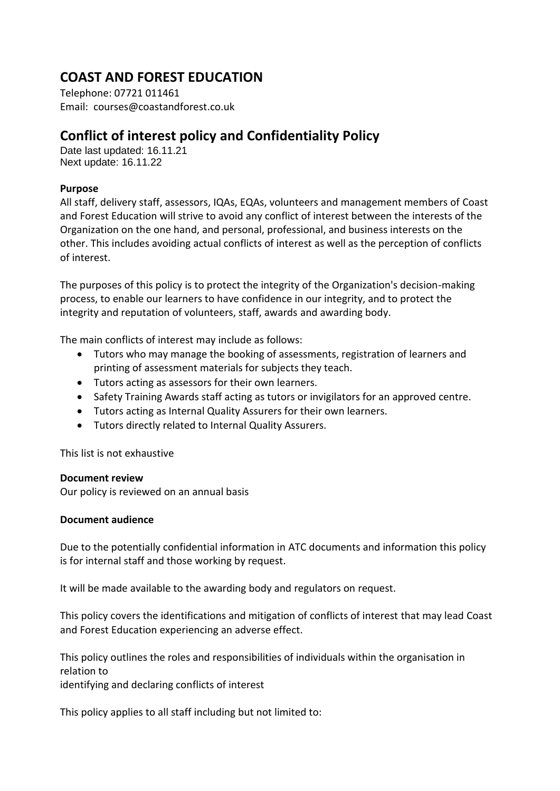# **COAST AND FOREST EDUCATION**

Telephone: 07721 011461 Email: courses@coastandforest.co.uk

# **Conflict of interest policy and Confidentiality Policy**

Date last updated: 16.11.21 Next update: 16.11.22

# **Purpose**

All staff, delivery staff, assessors, IQAs, EQAs, volunteers and management members of Coast and Forest Education will strive to avoid any conflict of interest between the interests of the Organization on the one hand, and personal, professional, and business interests on the other. This includes avoiding actual conflicts of interest as well as the perception of conflicts of interest.

The purposes of this policy is to protect the integrity of the Organization's decision-making process, to enable our learners to have confidence in our integrity, and to protect the integrity and reputation of volunteers, staff, awards and awarding body.

The main conflicts of interest may include as follows:

- Tutors who may manage the booking of assessments, registration of learners and printing of assessment materials for subjects they teach.
- Tutors acting as assessors for their own learners.
- Safety Training Awards staff acting as tutors or invigilators for an approved centre.
- Tutors acting as Internal Quality Assurers for their own learners.
- Tutors directly related to Internal Quality Assurers.

This list is not exhaustive

## **Document review**

Our policy is reviewed on an annual basis

## **Document audience**

Due to the potentially confidential information in ATC documents and information this policy is for internal staff and those working by request.

It will be made available to the awarding body and regulators on request.

This policy covers the identifications and mitigation of conflicts of interest that may lead Coast and Forest Education experiencing an adverse effect.

This policy outlines the roles and responsibilities of individuals within the organisation in relation to

identifying and declaring conflicts of interest

This policy applies to all staff including but not limited to: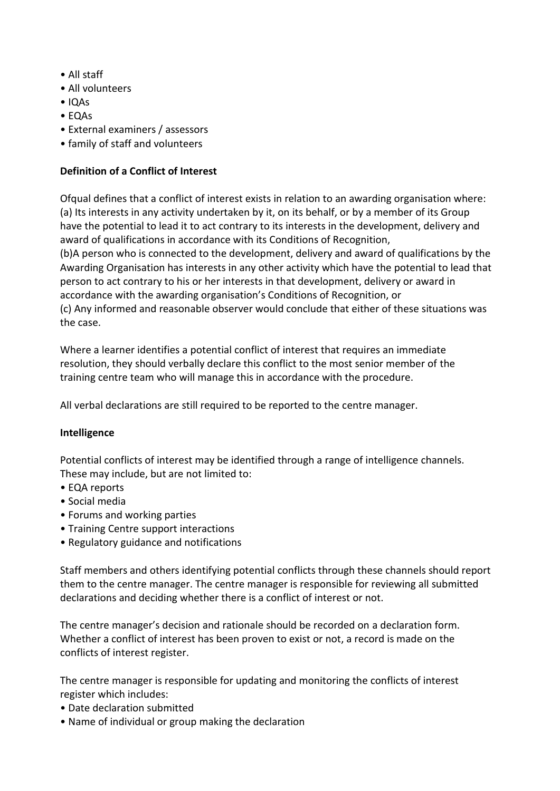- All staff
- All volunteers
- IQAs
- EQAs
- External examiners / assessors
- family of staff and volunteers

# **Definition of a Conflict of Interest**

Ofqual defines that a conflict of interest exists in relation to an awarding organisation where: (a) Its interests in any activity undertaken by it, on its behalf, or by a member of its Group have the potential to lead it to act contrary to its interests in the development, delivery and award of qualifications in accordance with its Conditions of Recognition, (b)A person who is connected to the development, delivery and award of qualifications by the Awarding Organisation has interests in any other activity which have the potential to lead that person to act contrary to his or her interests in that development, delivery or award in accordance with the awarding organisation's Conditions of Recognition, or

(c) Any informed and reasonable observer would conclude that either of these situations was the case.

Where a learner identifies a potential conflict of interest that requires an immediate resolution, they should verbally declare this conflict to the most senior member of the training centre team who will manage this in accordance with the procedure.

All verbal declarations are still required to be reported to the centre manager.

## **Intelligence**

Potential conflicts of interest may be identified through a range of intelligence channels. These may include, but are not limited to:

- EQA reports
- Social media
- Forums and working parties
- Training Centre support interactions
- Regulatory guidance and notifications

Staff members and others identifying potential conflicts through these channels should report them to the centre manager. The centre manager is responsible for reviewing all submitted declarations and deciding whether there is a conflict of interest or not.

The centre manager's decision and rationale should be recorded on a declaration form. Whether a conflict of interest has been proven to exist or not, a record is made on the conflicts of interest register.

The centre manager is responsible for updating and monitoring the conflicts of interest register which includes:

- Date declaration submitted
- Name of individual or group making the declaration